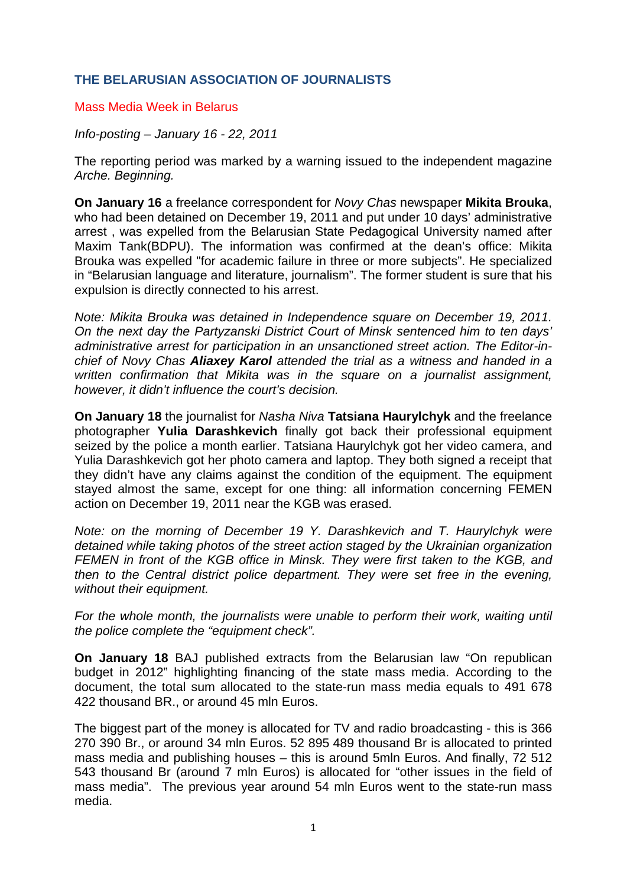## **THE BELARUSIAN ASSOCIATION OF JOURNALISTS**

## Mass Media Week in Belarus

## *Info-posting – January 16 - 22, 2011*

The reporting period was marked by a warning issued to the independent magazine *Arche. Beginning.* 

**On January 16** a freelance correspondent for *Novy Chas* newspaper **Mikita Brouka**, who had been detained on December 19, 2011 and put under 10 days' administrative arrest , was expelled from the Belarusian State Pedagogical University named after Maxim Tank(BDPU). The information was confirmed at the dean's office: Mikita Brouka was expelled "for academic failure in three or more subjects". He specialized in "Belarusian language and literature, journalism". The former student is sure that his expulsion is directly connected to his arrest.

*Note: Mikita Brouka was detained in Independence square on December 19, 2011. On the next day the Partyzanski District Court of Minsk sentenced him to ten days' administrative arrest for participation in an unsanctioned street action. The Editor-inchief of Novy Chas Aliaxey Karol attended the trial as a witness and handed in a written confirmation that Mikita was in the square on a journalist assignment, however, it didn't influence the court's decision.* 

**On January 18** the journalist for *Nasha Niva* **Tatsiana Haurylchyk** and the freelance photographer **Yulia Darashkevich** finally got back their professional equipment seized by the police a month earlier. Tatsiana Haurylchyk got her video camera, and Yulia Darashkevich got her photo camera and laptop. They both signed a receipt that they didn't have any claims against the condition of the equipment. The equipment stayed almost the same, except for one thing: all information concerning FEMEN action on December 19, 2011 near the KGB was erased.

*Note: on the morning of December 19 Y. Darashkevich and T. Haurylchyk were detained while taking photos of the street action staged by the Ukrainian organization FEMEN in front of the KGB office in Minsk. They were first taken to the KGB, and then to the Central district police department. They were set free in the evening, without their equipment.* 

For the whole month, the journalists were unable to perform their work, waiting until *the police complete the "equipment check".* 

**On January 18** BAJ published extracts from the Belarusian law "On republican budget in 2012" highlighting financing of the state mass media. According to the document, the total sum allocated to the state-run mass media equals to 491 678 422 thousand BR., or around 45 mln Euros.

The biggest part of the money is allocated for TV and radio broadcasting - this is 366 270 390 Br., or around 34 mln Euros. 52 895 489 thousand Br is allocated to printed mass media and publishing houses – this is around 5mln Euros. And finally, 72 512 543 thousand Br (around 7 mln Euros) is allocated for "other issues in the field of mass media". The previous year around 54 mln Euros went to the state-run mass media.